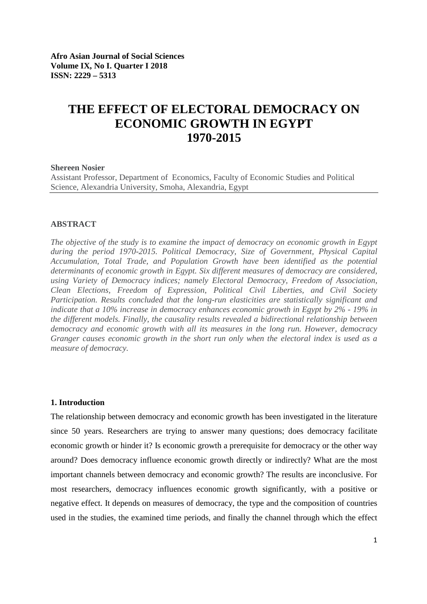# **THE EFFECT OF ELECTORAL DEMOCRACY ON ECONOMIC GROWTH IN EGYPT 1970-2015**

#### **Shereen Nosier**

Assistant Professor, Department of Economics, Faculty of Economic Studies and Political Science, Alexandria University, Smoha, Alexandria, Egypt

## **ABSTRACT**

*The objective of the study is to examine the impact of democracy on economic growth in Egypt during the period 1970-2015. Political Democracy, Size of Government, Physical Capital Accumulation, Total Trade, and Population Growth have been identified as the potential determinants of economic growth in Egypt. Six different measures of democracy are considered, using Variety of Democracy indices; namely Electoral Democracy, Freedom of Association, Clean Elections, Freedom of Expression, Political Civil Liberties, and Civil Society Participation. Results concluded that the long-run elasticities are statistically significant and indicate that a 10% increase in democracy enhances economic growth in Egypt by 2% - 19% in the different models. Finally, the causality results revealed a bidirectional relationship between democracy and economic growth with all its measures in the long run. However, democracy Granger causes economic growth in the short run only when the electoral index is used as a measure of democracy.*

#### **1. Introduction**

The relationship between democracy and economic growth has been investigated in the literature since 50 years. Researchers are trying to answer many questions; does democracy facilitate economic growth or hinder it? Is economic growth a prerequisite for democracy or the other way around? Does democracy influence economic growth directly or indirectly? What are the most important channels between democracy and economic growth? The results are inconclusive. For most researchers, democracy influences economic growth significantly, with a positive or negative effect. It depends on measures of democracy, the type and the composition of countries used in the studies, the examined time periods, and finally the channel through which the effect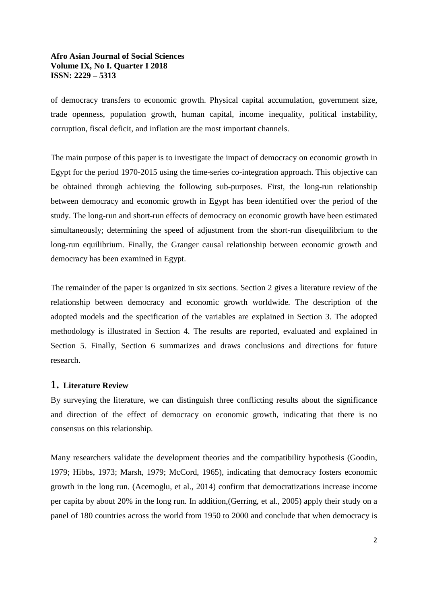of democracy transfers to economic growth. Physical capital accumulation, government size, trade openness, population growth, human capital, income inequality, political instability, corruption, fiscal deficit, and inflation are the most important channels.

The main purpose of this paper is to investigate the impact of democracy on economic growth in Egypt for the period 1970-2015 using the time-series co-integration approach. This objective can be obtained through achieving the following sub-purposes. First, the long-run relationship between democracy and economic growth in Egypt has been identified over the period of the study. The long-run and short-run effects of democracy on economic growth have been estimated simultaneously; determining the speed of adjustment from the short-run disequilibrium to the long-run equilibrium. Finally, the Granger causal relationship between economic growth and democracy has been examined in Egypt.

The remainder of the paper is organized in six sections. Section 2 gives a literature review of the relationship between democracy and economic growth worldwide. The description of the adopted models and the specification of the variables are explained in Section 3. The adopted methodology is illustrated in Section 4. The results are reported, evaluated and explained in Section 5. Finally, Section 6 summarizes and draws conclusions and directions for future research.

## **1. Literature Review**

By surveying the literature, we can distinguish three conflicting results about the significance and direction of the effect of democracy on economic growth, indicating that there is no consensus on this relationship.

Many researchers validate the development theories and the compatibility hypothesis (Goodin, 1979; Hibbs, 1973; Marsh, 1979; McCord, 1965), indicating that democracy fosters economic growth in the long run. (Acemoglu, et al., 2014) confirm that democratizations increase income per capita by about 20% in the long run. In addition,(Gerring, et al., 2005) apply their study on a panel of 180 countries across the world from 1950 to 2000 and conclude that when democracy is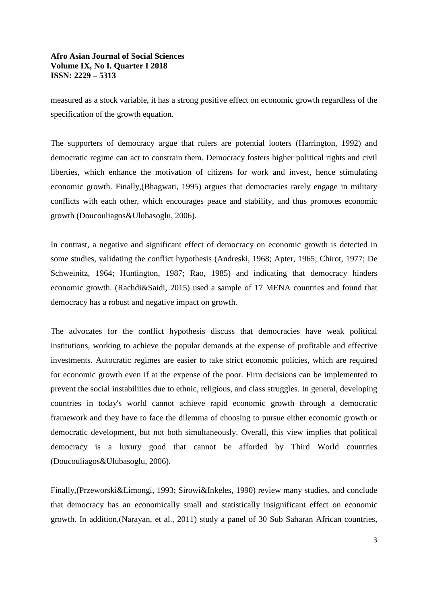measured as a stock variable, it has a strong positive effect on economic growth regardless of the specification of the growth equation.

The supporters of democracy argue that rulers are potential looters (Harrington, 1992) and democratic regime can act to constrain them. Democracy fosters higher political rights and civil liberties, which enhance the motivation of citizens for work and invest, hence stimulating economic growth. Finally,(Bhagwati, 1995) argues that democracies rarely engage in military conflicts with each other, which encourages peace and stability, and thus promotes economic growth (Doucouliagos&Ulubasoglu, 2006).

In contrast, a negative and significant effect of democracy on economic growth is detected in some studies, validating the conflict hypothesis (Andreski, 1968; Apter, 1965; Chirot, 1977; De Schweinitz, 1964; Huntington, 1987; Rao, 1985) and indicating that democracy hinders economic growth. (Rachdi&Saidi, 2015) used a sample of 17 MENA countries and found that democracy has a robust and negative impact on growth.

The advocates for the conflict hypothesis discuss that democracies have weak political institutions, working to achieve the popular demands at the expense of profitable and effective investments. Autocratic regimes are easier to take strict economic policies, which are required for economic growth even if at the expense of the poor. Firm decisions can be implemented to prevent the social instabilities due to ethnic, religious, and class struggles. In general, developing countries in today's world cannot achieve rapid economic growth through a democratic framework and they have to face the dilemma of choosing to pursue either economic growth or democratic development, but not both simultaneously. Overall, this view implies that political democracy is a luxury good that cannot be afforded by Third World countries (Doucouliagos&Ulubasoglu, 2006).

Finally,(Przeworski&Limongi, 1993; Sirowi&Inkeles, 1990) review many studies, and conclude that democracy has an economically small and statistically insignificant effect on economic growth. In addition,(Narayan, et al., 2011) study a panel of 30 Sub Saharan African countries,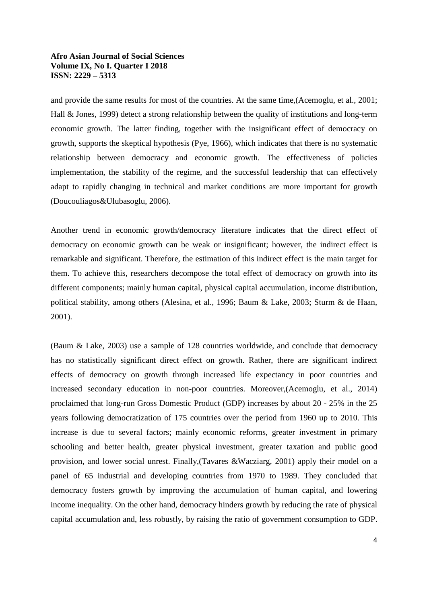and provide the same results for most of the countries. At the same time,(Acemoglu, et al., 2001; Hall & Jones, 1999) detect a strong relationship between the quality of institutions and long-term economic growth. The latter finding, together with the insignificant effect of democracy on growth, supports the skeptical hypothesis (Pye, 1966), which indicates that there is no systematic relationship between democracy and economic growth. The effectiveness of policies implementation, the stability of the regime, and the successful leadership that can effectively adapt to rapidly changing in technical and market conditions are more important for growth (Doucouliagos&Ulubasoglu, 2006).

Another trend in economic growth/democracy literature indicates that the direct effect of democracy on economic growth can be weak or insignificant; however, the indirect effect is remarkable and significant. Therefore, the estimation of this indirect effect is the main target for them. To achieve this, researchers decompose the total effect of democracy on growth into its different components; mainly human capital, physical capital accumulation, income distribution, political stability, among others (Alesina, et al., 1996; Baum & Lake, 2003; Sturm & de Haan, 2001).

(Baum & Lake, 2003) use a sample of 128 countries worldwide, and conclude that democracy has no statistically significant direct effect on growth. Rather, there are significant indirect effects of democracy on growth through increased life expectancy in poor countries and increased secondary education in non-poor countries. Moreover,(Acemoglu, et al., 2014) proclaimed that long-run Gross Domestic Product (GDP) increases by about 20 - 25% in the 25 years following democratization of 175 countries over the period from 1960 up to 2010. This increase is due to several factors; mainly economic reforms, greater investment in primary schooling and better health, greater physical investment, greater taxation and public good provision, and lower social unrest. Finally,(Tavares &Wacziarg, 2001) apply their model on a panel of 65 industrial and developing countries from 1970 to 1989. They concluded that democracy fosters growth by improving the accumulation of human capital, and lowering income inequality. On the other hand, democracy hinders growth by reducing the rate of physical capital accumulation and, less robustly, by raising the ratio of government consumption to GDP.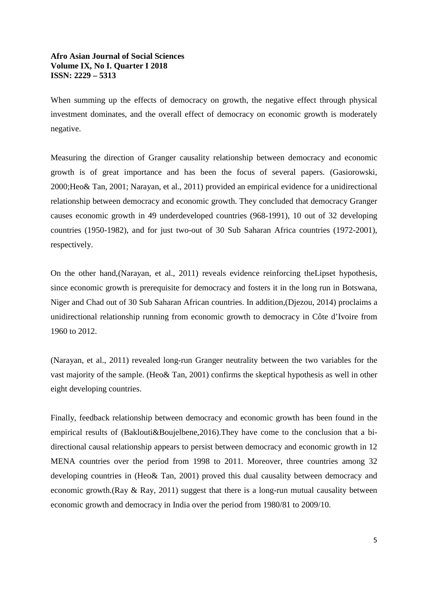When summing up the effects of democracy on growth, the negative effect through physical investment dominates, and the overall effect of democracy on economic growth is moderately negative.

Measuring the direction of Granger causality relationship between democracy and economic growth is of great importance and has been the focus of several papers. (Gasiorowski, 2000;Heo& Tan, 2001; Narayan, et al., 2011) provided an empirical evidence for a unidirectional relationship between democracy and economic growth. They concluded that democracy Granger causes economic growth in 49 underdeveloped countries (968-1991), 10 out of 32 developing countries (1950-1982), and for just two-out of 30 Sub Saharan Africa countries (1972-2001), respectively.

On the other hand,(Narayan, et al., 2011) reveals evidence reinforcing theLipset hypothesis, since economic growth is prerequisite for democracy and fosters it in the long run in Botswana, Niger and Chad out of 30 Sub Saharan African countries. In addition,(Djezou, 2014) proclaims a unidirectional relationship running from economic growth to democracy in Côte d'Ivoire from 1960 to 2012.

(Narayan, et al., 2011) revealed long-run Granger neutrality between the two variables for the vast majority of the sample. (Heo& Tan, 2001) confirms the skeptical hypothesis as well in other eight developing countries.

Finally, feedback relationship between democracy and economic growth has been found in the empirical results of (Baklouti&Boujelbene,2016).They have come to the conclusion that a bidirectional causal relationship appears to persist between democracy and economic growth in 12 MENA countries over the period from 1998 to 2011. Moreover, three countries among 32 developing countries in (Heo& Tan, 2001) proved this dual causality between democracy and economic growth.(Ray & Ray, 2011) suggest that there is a long-run mutual causality between economic growth and democracy in India over the period from 1980/81 to 2009/10.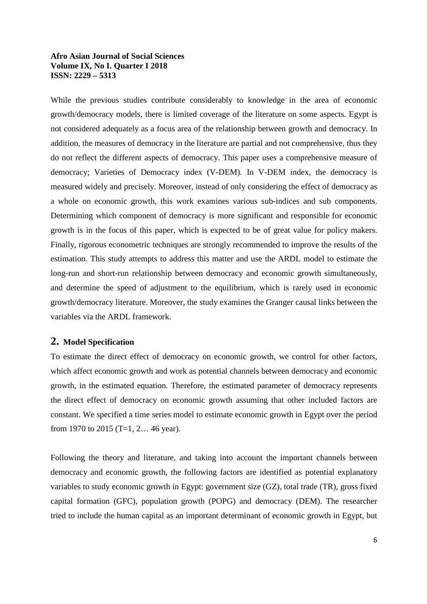While the previous studies contribute considerably to knowledge in the area of economic growth/democracy models, there is limited coverage of the literature on some aspects. Egypt is not considered adequately as a focus area of the relationship between growth and democracy. In addition, the measures of democracy in the literature are partial and not comprehensive, thus they do not reflect the different aspects of democracy. This paper uses a comprehensive measure of democracy; Varieties of Democracy index (V-DEM). In V-DEM index, the democracy is measured widely and precisely. Moreover, instead of only considering the effect of democracy as a whole on economic growth, this work examines various sub-indices and sub components. Determining which component of democracy is more significant and responsible for economic growth is in the focus of this paper, which is expected to be of great value for policy makers. Finally, rigorous econometric techniques are strongly recommended to improve the results of the estimation. This study attempts to address this matter and use the ARDL model to estimate the long-run and short-run relationship between democracy and economic growth simultaneously, and determine the speed of adjustment to the equilibrium, which is rarely used in economic growth/democracy literature. Moreover, the study examines the Granger causal links between the variables via the ARDL framework.

# **2. Model Specification**

To estimate the direct effect of democracy on economic growth, we control for other factors, which affect economic growth and work as potential channels between democracy and economic growth, in the estimated equation. Therefore, the estimated parameter of democracy represents the direct effect of democracy on economic growth assuming that other included factors are constant. We specified a time series model to estimate economic growth in Egypt over the period from 1970 to 2015 (T=1, 2… 46 year).

Following the theory and literature, and taking into account the important channels between democracy and economic growth, the following factors are identified as potential explanatory variables to study economic growth in Egypt: government size (GZ), total trade (TR), gross fixed capital formation (GFC), population growth (POPG) and democracy (DEM). The researcher tried to include the human capital as an important determinant of economic growth in Egypt, but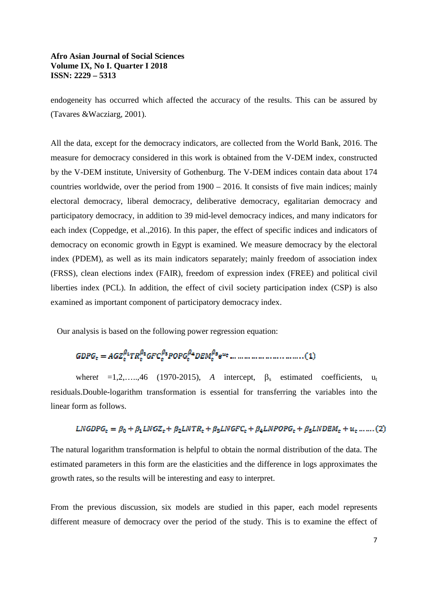endogeneity has occurred which affected the accuracy of the results. This can be assured by (Tavares &Wacziarg, 2001).

All the data, except for the democracy indicators, are collected from the World Bank, 2016. The measure for democracy considered in this work is obtained from the V-DEM index, constructed by the V-DEM institute, University of Gothenburg. The V-DEM indices contain data about 174 countries worldwide, over the period from  $1900 - 2016$ . It consists of five main indices; mainly electoral democracy, liberal democracy, deliberative democracy, egalitarian democracy and participatory democracy, in addition to 39 mid-level democracy indices, and many indicators for each index (Coppedge, et al.,2016). In this paper, the effect of specific indices and indicators of democracy on economic growth in Egypt is examined. We measure democracy by the electoral index (PDEM), as well as its main indicators separately; mainly freedom of association index (FRSS), clean elections index (FAIR), freedom of expression index (FREE) and political civil liberties index (PCL). In addition, the effect of civil society participation index (CSP) is also examined as important component of participatory democracy index.

Our analysis is based on the following power regression equation:

# 

where  $=1,2,...,46$  (1970-2015), *A* intercept,  $\beta_s$  estimated coefficients,  $u_t$ residuals.Double-logarithm transformation is essential for transferring the variables into the linear form as follows.

## $LNGDPG<sub>t</sub> = \beta_0 + \beta_1 LNGZ_t + \beta_2 LNTR_t + \beta_3 LNGFC_t + \beta_4 LNPOPG_t + \beta_5 LNDEM_t + u_t \dots$  (2)

The natural logarithm transformation is helpful to obtain the normal distribution of the data. The estimated parameters in this form are the elasticities and the difference in logs approximates the growth rates, so the results will be interesting and easy to interpret.

From the previous discussion, six models are studied in this paper, each model represents different measure of democracy over the period of the study. This is to examine the effect of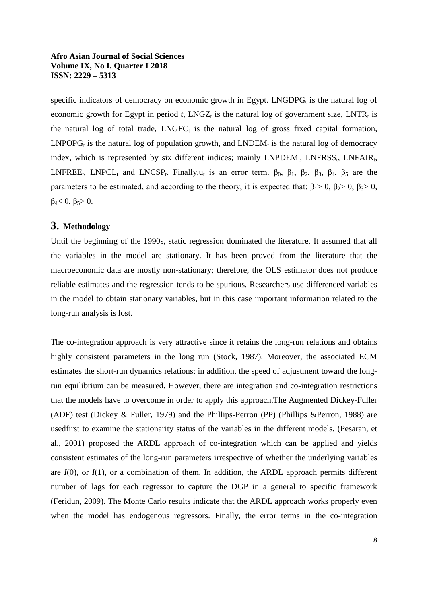specific indicators of democracy on economic growth in Egypt. LNGDP $G_t$  is the natural log of economic growth for Egypt in period  $t$ , LNGZ<sub>t</sub> is the natural log of government size, LNTR<sub>t</sub> is the natural log of total trade,  $LMGFC_t$  is the natural log of gross fixed capital formation,  $LNPOPG_t$  is the natural log of population growth, and  $LNDEM_t$  is the natural log of democracy index, which is represented by six different indices; mainly  $LNPDEM_t$ ,  $LNFRSS_t$ ,  $LNFAIR_t$ , LNFREE<sub>t</sub>, LNPCL<sub>t</sub> and LNCSP<sub>t</sub>. Finally,  $u_t$  is an error term.  $\beta_0$ ,  $\beta_1$ ,  $\beta_2$ ,  $\beta_3$ ,  $\beta_4$ ,  $\beta_5$  are the parameters to be estimated, and according to the theory, it is expected that:  $\beta_1 > 0$ ,  $\beta_2 > 0$ ,  $\beta_3 > 0$ ,  $β<sub>4</sub> < 0, β<sub>5</sub> > 0.$ 

## **3. Methodology**

Until the beginning of the 1990s, static regression dominated the literature. It assumed that all the variables in the model are stationary. It has been proved from the literature that the macroeconomic data are mostly non-stationary; therefore, the OLS estimator does not produce reliable estimates and the regression tends to be spurious. Researchers use differenced variables in the model to obtain stationary variables, but in this case important information related to the long-run analysis is lost.

The co-integration approach is very attractive since it retains the long-run relations and obtains highly consistent parameters in the long run (Stock, 1987). Moreover, the associated ECM estimates the short-run dynamics relations; in addition, the speed of adjustment toward the longrun equilibrium can be measured. However, there are integration and co-integration restrictions that the models have to overcome in order to apply this approach.The Augmented Dickey-Fuller (ADF) test (Dickey & Fuller, 1979) and the Phillips-Perron (PP) (Phillips &Perron, 1988) are usedfirst to examine the stationarity status of the variables in the different models. (Pesaran, et al., 2001) proposed the ARDL approach of co-integration which can be applied and yields consistent estimates of the long-run parameters irrespective of whether the underlying variables are *I*(0), or *I*(1), or a combination of them. In addition, the ARDL approach permits different number of lags for each regressor to capture the DGP in a general to specific framework (Feridun, 2009). The Monte Carlo results indicate that the ARDL approach works properly even when the model has endogenous regressors. Finally, the error terms in the co-integration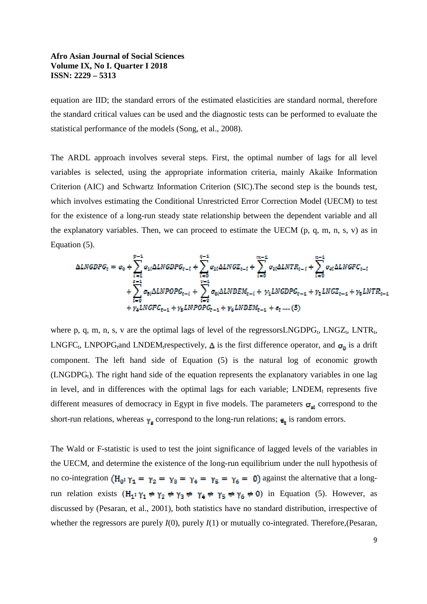equation are IID; the standard errors of the estimated elasticities are standard normal, therefore the standard critical values can be used and the diagnostic tests can be performed to evaluate the statistical performance of the models (Song, et al., 2008).

The ARDL approach involves several steps. First, the optimal number of lags for all level variables is selected, using the appropriate information criteria, mainly Akaike Information Criterion (AIC) and Schwartz Information Criterion (SIC).The second step is the bounds test, which involves estimating the Conditional Unrestricted Error Correction Model (UECM) to test for the existence of a long-run steady state relationship between the dependent variable and all the explanatory variables. Then, we can proceed to estimate the UECM (p, q, m, n, s, v) as in Equation (5).

$$
\Delta LNGDPG_{t} = \sigma_{0} + \sum_{i=1}^{p-1} \sigma_{ii} \Delta LNGDPG_{t-i} + \sum_{i=0}^{q-1} \sigma_{2i} \Delta LNGZ_{t-i} + \sum_{i=0}^{m-1} \sigma_{3i} \Delta LNTR_{t-i} + \sum_{i=0}^{m-1} \sigma_{4i} \Delta LNGFC_{t-i} + \sum_{i=0}^{q-1} \sigma_{5i} \Delta LNPOPG_{t-i} + \sum_{i=0}^{p-1} \sigma_{6i} \Delta LNDEM_{t-i} + \gamma_{1} LNGDPG_{t-1} + \gamma_{2} LNGZ_{t-1} + \gamma_{3} LNTR_{t-1} + \gamma_{4} LNGFC_{t-1} + \gamma_{5} LNPOPG_{t-1} + \gamma_{6} LNDEM_{t-1} + \epsilon_{t} ....(5)
$$

where p, q, m, n, s, v are the optimal lags of level of the regressorsLNGDPG<sub>t</sub>, LNGZ<sub>t</sub>, LNTR<sub>t</sub>, LNGFC<sub>t</sub>, LNPOPG<sub>t</sub>and LNDEM<sub>t</sub>respectively,  $\Delta$  is the first difference operator, and  $\sigma_0$  is a drift component. The left hand side of Equation (5) is the natural log of economic growth  $(LNGDPG_t)$ . The right hand side of the equation represents the explanatory variables in one lag in level, and in differences with the optimal lags for each variable;  $LNDEM_t$  represents five different measures of democracy in Egypt in five models. The parameters  $\sigma_{si}$  correspond to the short-run relations, whereas  $\gamma_s$  correspond to the long-run relations;  $\epsilon_r$  is random errors.

The Wald or F-statistic is used to test the joint significance of lagged levels of the variables in the UECM, and determine the existence of the long-run equilibrium under the null hypothesis of no co-integration  $(H_0: \gamma_1 = \gamma_2 = \gamma_3 = \gamma_4 = \gamma_5 = \gamma_6 = 0)$  against the alternative that a longrun relation exists  $(H_1: \gamma_1 \neq \gamma_2 \neq \gamma_3 \neq \gamma_4 \neq \gamma_5 \neq \gamma_6 \neq 0)$  in Equation (5). However, as discussed by (Pesaran, et al., 2001), both statistics have no standard distribution, irrespective of whether the regressors are purely *I*(0), purely *I*(1) or mutually co-integrated. Therefore, (Pesaran,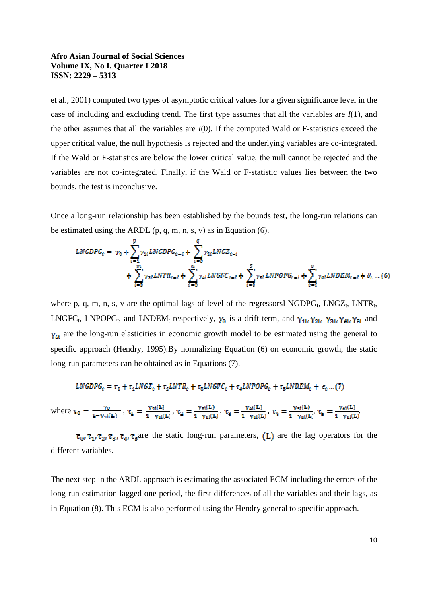et al., 2001) computed two types of asymptotic critical values for a given significance level in the case of including and excluding trend. The first type assumes that all the variables are *I*(1), and the other assumes that all the variables are *I*(0). If the computed Wald or F-statistics exceed the upper critical value, the null hypothesis is rejected and the underlying variables are co-integrated. If the Wald or F-statistics are below the lower critical value, the null cannot be rejected and the variables are not co-integrated. Finally, if the Wald or F-statistic values lies between the two bounds, the test is inconclusive.

Once a long-run relationship has been established by the bounds test, the long-run relations can be estimated using the ARDL (p, q, m, n, s, v) as in Equation (6).

$$
LNGDPG_{t} = \gamma_{0} + \sum_{i=1}^{p} \gamma_{ii} LNGDPG_{t-i} + \sum_{i=0}^{q} \gamma_{2i} LNGZ_{t-i} + \sum_{i=0}^{q} \gamma_{4i} LNGFC_{t-i} + \sum_{i=0}^{s} \gamma_{5i} LNPOPG_{t-i} + \sum_{i=1}^{p} \gamma_{6i} LNDEM_{t-i} + \vartheta_{t} ... (6)
$$

where p, q, m, n, s, v are the optimal lags of level of the regressors LNGDPG<sub>t</sub>, LNGZ<sub>t</sub>, LNTR<sub>t</sub>, LNGFC<sub>t</sub>, LNPOPG<sub>t</sub>, and LNDEM<sub>t</sub> respectively,  $\gamma_0$  is a drift term, and  $\gamma_{1i}$ ,  $\gamma_{2i}$ ,  $\gamma_{3i}$ ,  $\gamma_{4i}$ ,  $\gamma_{5i}$  and  $Y_{6i}$  are the long-run elasticities in economic growth model to be estimated using the general to specific approach (Hendry, 1995).By normalizing Equation (6) on economic growth, the static long-run parameters can be obtained as in Equations (7).

$$
LNGDPG_{\varepsilon} = \tau_0 + \tau_1 LNGZ_{\varepsilon} + \tau_2 LNTR_{\varepsilon} + \tau_3 LNGFC_{\varepsilon} + \tau_4 LNPOPG_{\varepsilon} + \tau_5 LNDEM_{\varepsilon} + \varepsilon_{\varepsilon} \dots (7)
$$

$$
\text{where } \tau_0 = \frac{\gamma_0}{1-\gamma_{1i}(L)} \text{ , } \tau_1 = \frac{\gamma_{2i}(L)}{1-\gamma_{1i}(L)} \text{ , } \tau_2 = \frac{\gamma_{3i}(L)}{1-\gamma_{1i}(L)} \text{ , } \tau_3 = \frac{\gamma_{4i}(L)}{1-\gamma_{1i}(L)} \text{ , } \tau_4 = \frac{\gamma_{3i}(L)}{1-\gamma_{1i}(L)} \text{ , } \tau_5 = \frac{\gamma_{6i}(L)}{1-\gamma_{1i}(L)} \text{ .}
$$

 $\tau_0$ ,  $\tau_1$ ,  $\tau_2$ ,  $\tau_3$ ,  $\tau_4$ ,  $\tau_5$  are the static long-run parameters, (L) are the lag operators for the different variables.

The next step in the ARDL approach is estimating the associated ECM including the errors of the long-run estimation lagged one period, the first differences of all the variables and their lags, as in Equation (8). This ECM is also performed using the Hendry general to specific approach.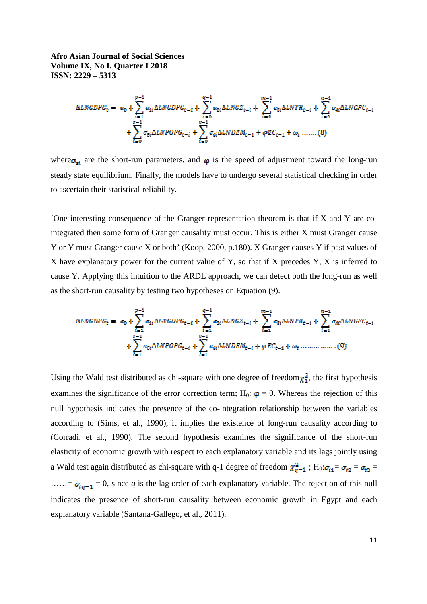$$
\Delta LNGDPG_{t} = \sigma_{0} + \sum_{i=1}^{p-1} \sigma_{ii} \Delta LNGDPG_{t-i} + \sum_{i=0}^{q-1} \sigma_{2i} \Delta LNGZ_{t-i} + \sum_{i=0}^{m-1} \sigma_{2i} \Delta LNTR_{t-i} + \sum_{i=0}^{n-1} \sigma_{4i} \Delta LNGFC_{t-i} + \sum_{i=0}^{s-1} \sigma_{5i} \Delta LNPOPG_{t-i} + \sum_{i=0}^{s-1} \sigma_{6i} \Delta LNDEM_{t-1} + \varphi EC_{t-1} + \omega_{t} \dots \dots (8)
$$

where  $\sigma_{\rm gi}$  are the short-run parameters, and  $\varphi$  is the speed of adjustment toward the long-run steady state equilibrium. Finally, the models have to undergo several statistical checking in order to ascertain their statistical reliability.

'One interesting consequence of the Granger representation theorem is that if X and Y are cointegrated then some form of Granger causality must occur. This is either X must Granger cause Y or Y must Granger cause X or both' (Koop, 2000, p.180). X Granger causes Y if past values of X have explanatory power for the current value of Y, so that if X precedes Y, X is inferred to cause Y. Applying this intuition to the ARDL approach, we can detect both the long-run as well as the short-run causality by testing two hypotheses on Equation (9).

$$
\Delta LNGDPG_{t} = \sigma_{0} + \sum_{i=1}^{p-1} \sigma_{ii} \Delta L NGDPG_{t-i} + \sum_{i=1}^{q-1} \sigma_{2i} \Delta L NGZ_{t-i} + \sum_{i=1}^{m-1} \sigma_{2i} \Delta L NTR_{t-i} + \sum_{i=1}^{n-1} \sigma_{4i} \Delta L NGFC_{t-i} + \sum_{i=1}^{q-1} \sigma_{8i} \Delta L N POPG_{t-i} + \sum_{i=1}^{p-1} \sigma_{6i} \Delta L N DEM_{t-i} + \varphi EC_{t-1} + \omega_{t} \dots \dots \dots \dots \dots \tag{9}
$$

Using the Wald test distributed as chi-square with one degree of freedom  $\chi^2$ , the first hypothesis examines the significance of the error correction term;  $H_0$ :  $\varphi = 0$ . Whereas the rejection of this null hypothesis indicates the presence of the co-integration relationship between the variables according to (Sims, et al., 1990), it implies the existence of long-run causality according to (Corradi, et al., 1990). The second hypothesis examines the significance of the short-run elasticity of economic growth with respect to each explanatory variable and its lags jointly using a Wald test again distributed as chi-square with q-1 degree of freedom  $\chi^2_{q-1}$ ; H<sub>0</sub>: $\sigma_{i1} = \sigma_{i2} = \sigma_{i3}$  $\ldots$  =  $\sigma_{i_{\sigma-1}}$  = 0, since q is the lag order of each explanatory variable. The rejection of this null indicates the presence of short-run causality between economic growth in Egypt and each explanatory variable (Santana-Gallego, et al., 2011).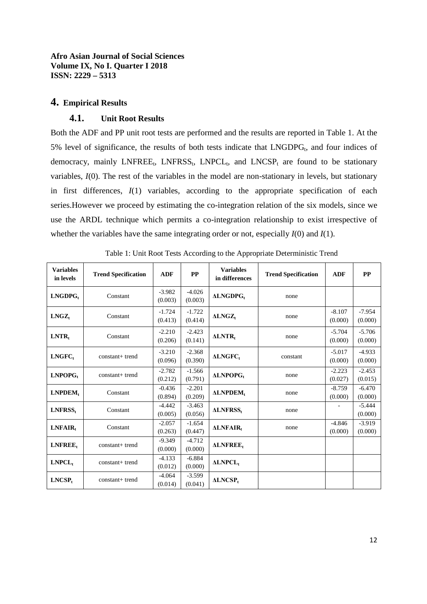## **4. Empirical Results**

## **4.1. Unit Root Results**

Both the ADF and PP unit root tests are performed and the results are reported in Table 1. At the 5% level of significance, the results of both tests indicate that  $LNGDPG<sub>t</sub>$ , and four indices of democracy, mainly LNFREE<sub>t</sub>, LNFRSS<sub>t</sub>, LNPCL<sub>t</sub>, and LNCSP<sub>t</sub> are found to be stationary variables, *I*(0). The rest of the variables in the model are non-stationary in levels, but stationary in first differences, *I*(1) variables, according to the appropriate specification of each series.However we proceed by estimating the co-integration relation of the six models, since we use the ARDL technique which permits a co-integration relationship to exist irrespective of whether the variables have the same integrating order or not, especially *I*(0) and *I*(1).

| <b>Variables</b><br>in levels | <b>Trend Specification</b> | <b>ADF</b>          | PP                  | <b>Variables</b><br>in differences | <b>Trend Specification</b> | <b>ADF</b>          | <b>PP</b>           |
|-------------------------------|----------------------------|---------------------|---------------------|------------------------------------|----------------------------|---------------------|---------------------|
| $LNGDPG_t$                    | Constant                   | $-3.982$<br>(0.003) | $-4.026$<br>(0.003) | <b>ALNGDPG</b> <sub>t</sub>        | none                       |                     |                     |
| $LNGZ_t$                      | Constant                   | $-1.724$<br>(0.413) | $-1.722$<br>(0.414) | <b>ALNGZ</b>                       | none                       | $-8.107$<br>(0.000) | $-7.954$<br>(0.000) |
| $LNTR_t$                      | Constant                   | $-2.210$<br>(0.206) | $-2.423$<br>(0.141) | <b>ALNTR</b>                       | none                       | $-5.704$<br>(0.000) | $-5.706$<br>(0.000) |
| LNGFC <sub>t</sub>            | constant+ trend            | $-3.210$<br>(0.096) | $-2.368$<br>(0.390) | <b>ALNGFC</b> <sub>t</sub>         | constant                   | $-5.017$<br>(0.000) | $-4.933$<br>(0.000) |
| $LNPOPG_t$                    | constant+ trend            | $-2.782$<br>(0.212) | $-1.566$<br>(0.791) | <b>ALNPOPG</b>                     | none                       | $-2.223$<br>(0.027) | $-2.453$<br>(0.015) |
| LNPDEM,                       | Constant                   | $-0.436$<br>(0.894) | $-2.201$<br>(0.209) | <b>ALNPDEM</b>                     | none                       | $-8.759$<br>(0.000) | $-6.470$<br>(0.000) |
| LNFRSS,                       | Constant                   | $-4.442$<br>(0.005) | $-3.463$<br>(0.056) | <b>ALNFRSS</b>                     | none                       | $\frac{1}{2}$       | $-5.444$<br>(0.000) |
| LNFAIR,                       | Constant                   | $-2.057$<br>(0.263) | $-1.654$<br>(0.447) | <b>ALNFAIR</b>                     | none                       | $-4.846$<br>(0.000) | $-3.919$<br>(0.000) |
| LNFREE <sub>t</sub>           | constant+ trend            | $-9.349$<br>(0.000) | $-4.712$<br>(0.000) | $\triangle$ LNFREE <sub>t</sub>    |                            |                     |                     |
| LNPCL,                        | constant+ trend            | $-4.133$<br>(0.012) | $-6.884$<br>(0.000) | <b>ALNPCL</b>                      |                            |                     |                     |
| LNCSP <sub>t</sub>            | constant+ trend            | $-4.064$<br>(0.014) | $-3.599$<br>(0.041) | <b>ALNCSP</b>                      |                            |                     |                     |

|  |  |  |  | Table 1: Unit Root Tests According to the Appropriate Deterministic Trend |  |
|--|--|--|--|---------------------------------------------------------------------------|--|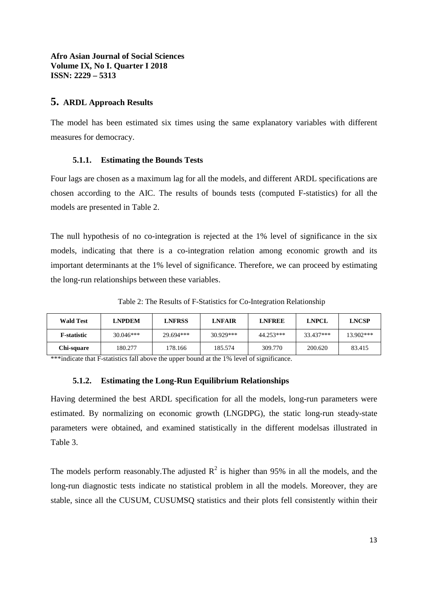# **5. ARDL Approach Results**

The model has been estimated six times using the same explanatory variables with different measures for democracy.

## **5.1.1. Estimating the Bounds Tests**

Four lags are chosen as a maximum lag for all the models, and different ARDL specifications are chosen according to the AIC. The results of bounds tests (computed F-statistics) for all the models are presented in Table 2.

The null hypothesis of no co-integration is rejected at the 1% level of significance in the six models, indicating that there is a co-integration relation among economic growth and its important determinants at the 1% level of significance. Therefore, we can proceed by estimating the long-run relationships between these variables.

Table 2: The Results of F-Statistics for Co-Integration Relationship

| <b>Wald Test</b>   | LNPDEM      | LNFRSS    | <b>LNFAIR</b> | LNFREE    | <b>LNPCL</b> | <b>LNCSP</b> |
|--------------------|-------------|-----------|---------------|-----------|--------------|--------------|
| <b>F-statistic</b> | $30.046***$ | 29.694*** | $30.929***$   | 44.253*** | 33.437***    | 13.902***    |
| Chi-square         | 180.277     | 178.166   | 185.574       | 309.770   | 200.620      | 83.415       |

\*\*\*indicate that F-statistics fall above the upper bound at the 1% level of significance.

# **5.1.2. Estimating the Long-Run Equilibrium Relationships**

Having determined the best ARDL specification for all the models, long-run parameters were estimated. By normalizing on economic growth (LNGDPG), the static long-run steady-state parameters were obtained, and examined statistically in the different modelsas illustrated in Table 3.

The models perform reasonably. The adjusted  $R^2$  is higher than 95% in all the models, and the long-run diagnostic tests indicate no statistical problem in all the models. Moreover, they are stable, since all the CUSUM, CUSUMSQ statistics and their plots fell consistently within their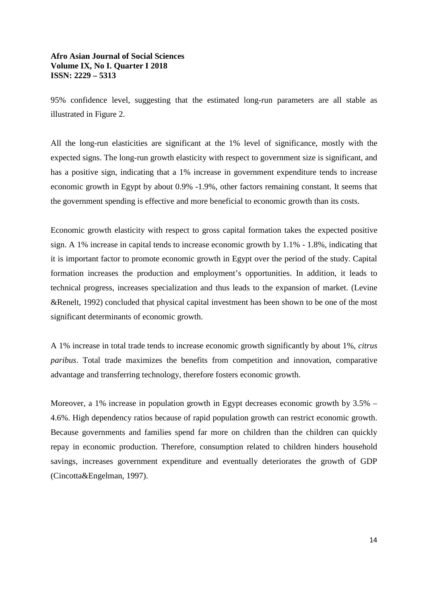95% confidence level, suggesting that the estimated long-run parameters are all stable as illustrated in Figure 2.

All the long-run elasticities are significant at the 1% level of significance, mostly with the expected signs. The long-run growth elasticity with respect to government size is significant, and has a positive sign, indicating that a 1% increase in government expenditure tends to increase economic growth in Egypt by about 0.9% -1.9%, other factors remaining constant. It seems that the government spending is effective and more beneficial to economic growth than its costs.

Economic growth elasticity with respect to gross capital formation takes the expected positive sign. A 1% increase in capital tends to increase economic growth by 1.1% - 1.8%, indicating that it is important factor to promote economic growth in Egypt over the period of the study. Capital formation increases the production and employment's opportunities. In addition, it leads to technical progress, increases specialization and thus leads to the expansion of market. (Levine &Renelt, 1992) concluded that physical capital investment has been shown to be one of the most significant determinants of economic growth.

A 1% increase in total trade tends to increase economic growth significantly by about 1%, *citrus paribus*. Total trade maximizes the benefits from competition and innovation, comparative advantage and transferring technology, therefore fosters economic growth.

Moreover, a 1% increase in population growth in Egypt decreases economic growth by 3.5% – 4.6%. High dependency ratios because of rapid population growth can restrict economic growth. Because governments and families spend far more on children than the children can quickly repay in economic production. Therefore, consumption related to children hinders household savings, increases government expenditure and eventually deteriorates the growth of GDP (Cincotta&Engelman, 1997).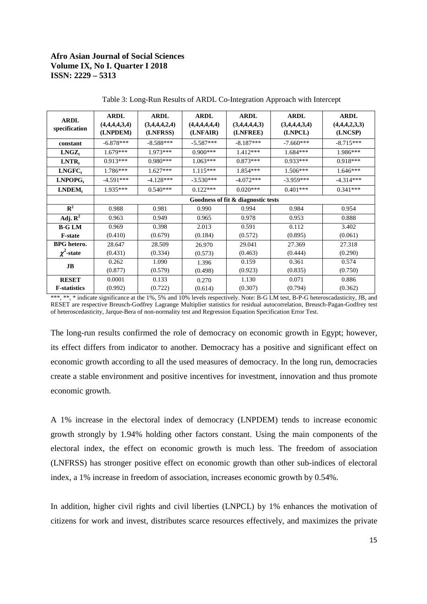| <b>ARDL</b><br>specification | <b>ARDL</b><br>(4,4,4,4,3,4)<br>(LNPDEM) | <b>ARDL</b><br>(3,4,4,4,2,4)<br>(LNFRSS) | <b>ARDL</b><br>(4,4,4,4,4,4)<br>(LNFAIR) | <b>ARDL</b><br>(3,4,4,4,4,3)<br>(LNFREE) | <b>ARDL</b><br>(3,4,4,4,3,4)<br>(LNPCL) | <b>ARDL</b><br>(4,4,4,2,3,3)<br>(LNCSP) |
|------------------------------|------------------------------------------|------------------------------------------|------------------------------------------|------------------------------------------|-----------------------------------------|-----------------------------------------|
| constant                     | $-6.878***$                              | $-8.588***$                              | $-5.587***$                              | $-8.187***$                              | $-7.660***$                             | $-8.715***$                             |
| $LNGZ_t$                     | $1.679***$                               | $1.973***$                               | $0.900***$                               | $1.412***$                               | $1.684***$                              | 1.986***                                |
| $LNTR_t$                     | $0.913***$                               | $0.980***$                               | $1.063***$                               | $0.873***$                               | $0.933***$                              | $0.918***$                              |
| $LNGFC_t$                    | $1.786***$                               | $1.627***$                               | $1.115***$                               | $1.854***$                               | 1.506***                                | $1.646***$                              |
| LNPOPG <sub>t</sub>          | $-4.591***$                              | $-4.128***$                              | $-3.530***$                              | $-4.072***$                              | $-3.959***$                             | $-4.314***$                             |
| $LNDEM_t$                    | $1.935***$                               | $0.540***$                               | $0.122***$                               | $0.020***$                               | $0.401***$                              | $0.341***$                              |
|                              |                                          |                                          |                                          | Goodness of fit & diagnostic tests       |                                         |                                         |
| $\overline{\mathbf{R}^2}$    | 0.988                                    | 0.981                                    | 0.990                                    | 0.994                                    | 0.984                                   | 0.954                                   |
| Adj. $\mathbb{R}^2$          | 0.963                                    | 0.949                                    | 0.965                                    | 0.978                                    | 0.953                                   | 0.888                                   |
| <b>B-G LM</b>                | 0.969                                    | 0.398                                    | 2.013                                    | 0.591                                    | 0.112                                   | 3.402                                   |
| <b>F-state</b>               | (0.410)                                  | (0.679)                                  | (0.184)                                  | (0.572)                                  | (0.895)                                 | (0.061)                                 |
| BPG hetero.                  | 28.647                                   | 28.509                                   | 26.970                                   | 29.041                                   | 27.369                                  | 27.318                                  |
| $\chi^2$ -state              | (0.431)                                  | (0.334)                                  | (0.573)                                  | (0.463)                                  | (0.444)                                 | (0.290)                                 |
| J <sub>B</sub>               | 0.262                                    | 1.090                                    | 1.396                                    | 0.159                                    | 0.361                                   | 0.574                                   |
|                              | (0.877)                                  | (0.579)                                  | (0.498)                                  | (0.923)                                  | (0.835)                                 | (0.750)                                 |
| <b>RESET</b>                 | 0.0001                                   | 0.133                                    | 0.270                                    | 1.130                                    | 0.071                                   | 0.886                                   |
| <b>F-statistics</b>          | (0.992)                                  | (0.722)                                  | (0.614)                                  | (0.307)                                  | (0.794)                                 | (0.362)                                 |

Table 3: Long-Run Results of ARDL Co-Integration Approach with Intercept

\*\*\*, \*\*, \* indicate significance at the 1%, 5% and 10% levels respectively. Note: B-G LM test, B-P-G heteroscadasticity, JB, and RESET are respective Breusch-Godfrey Lagrange Multiplier statistics for residual autocorrelation, Breusch-Pagan-Godfrey test of heteroscedasticity, Jarque-Bera of non-normality test and Regression Equation Specification Error Test.

The long-run results confirmed the role of democracy on economic growth in Egypt; however, its effect differs from indicator to another. Democracy has a positive and significant effect on economic growth according to all the used measures of democracy. In the long run, democracies create a stable environment and positive incentives for investment, innovation and thus promote economic growth.

A 1% increase in the electoral index of democracy (LNPDEM) tends to increase economic growth strongly by 1.94% holding other factors constant. Using the main components of the electoral index, the effect on economic growth is much less. The freedom of association (LNFRSS) has stronger positive effect on economic growth than other sub-indices of electoral index, a 1% increase in freedom of association, increases economic growth by 0.54%.

In addition, higher civil rights and civil liberties (LNPCL) by 1% enhances the motivation of citizens for work and invest, distributes scarce resources effectively, and maximizes the private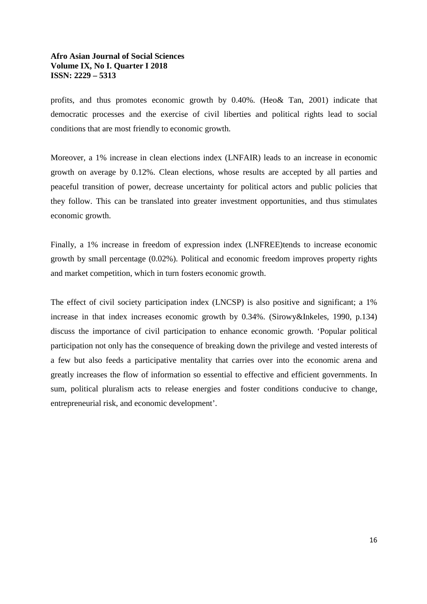profits, and thus promotes economic growth by 0.40%. (Heo& Tan, 2001) indicate that democratic processes and the exercise of civil liberties and political rights lead to social conditions that are most friendly to economic growth.

Moreover, a 1% increase in clean elections index (LNFAIR) leads to an increase in economic growth on average by 0.12%. Clean elections, whose results are accepted by all parties and peaceful transition of power, decrease uncertainty for political actors and public policies that they follow. This can be translated into greater investment opportunities, and thus stimulates economic growth.

Finally, a 1% increase in freedom of expression index (LNFREE)tends to increase economic growth by small percentage (0.02%). Political and economic freedom improves property rights and market competition, which in turn fosters economic growth.

The effect of civil society participation index (LNCSP) is also positive and significant; a 1% increase in that index increases economic growth by 0.34%. (Sirowy&Inkeles, 1990, p.134) discuss the importance of civil participation to enhance economic growth. 'Popular political participation not only has the consequence of breaking down the privilege and vested interests of a few but also feeds a participative mentality that carries over into the economic arena and greatly increases the flow of information so essential to effective and efficient governments. In sum, political pluralism acts to release energies and foster conditions conducive to change, entrepreneurial risk, and economic development'.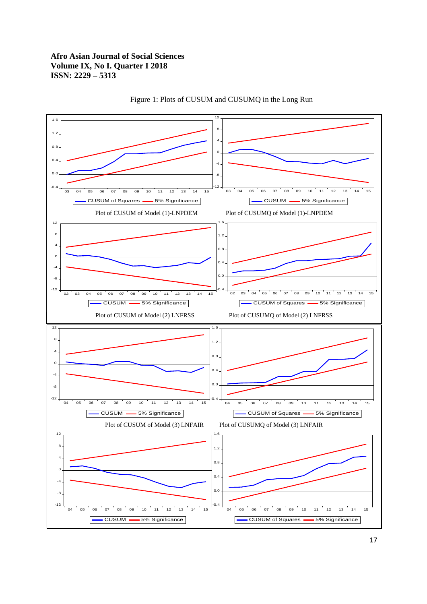

Figure 1: Plots of CUSUM and CUSUMQ in the Long Run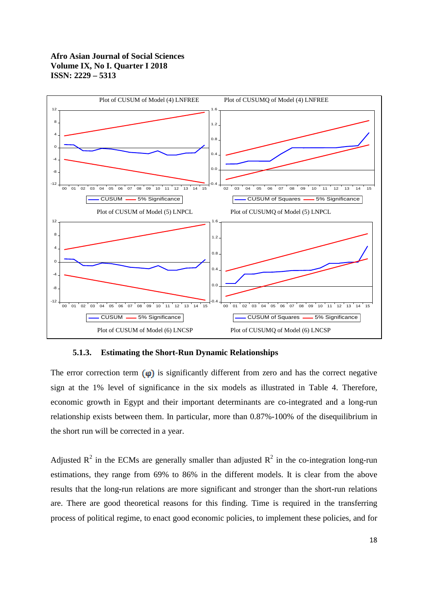

**5.1.3. Estimating the Short-Run Dynamic Relationships**

The error correction term  $\omega$  is significantly different from zero and has the correct negative sign at the 1% level of significance in the six models as illustrated in Table 4. Therefore, economic growth in Egypt and their important determinants are co-integrated and a long-run relationship exists between them. In particular, more than 0.87%-100% of the disequilibrium in the short run will be corrected in a year.

Adjusted  $R^2$  in the ECMs are generally smaller than adjusted  $R^2$  in the co-integration long-run estimations, they range from 69% to 86% in the different models. It is clear from the above results that the long-run relations are more significant and stronger than the short-run relations are. There are good theoretical reasons for this finding. Time is required in the transferring process of political regime, to enact good economic policies, to implement these policies, and for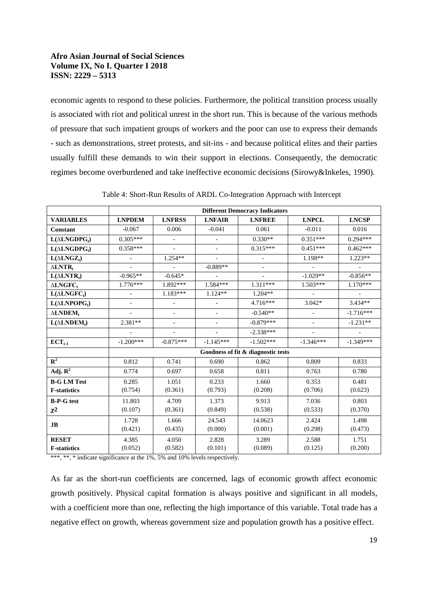economic agents to respond to these policies. Furthermore, the political transition process usually is associated with riot and political unrest in the short run. This is because of the various methods of pressure that such impatient groups of workers and the poor can use to express their demands - such as demonstrations, street protests, and sit-ins - and because political elites and their parties usually fulfill these demands to win their support in elections. Consequently, the democratic regimes become overburdened and take ineffective economic decisions (Sirowy&Inkeles, 1990).

|                                | <b>Different Democracy Indicators</b> |                              |               |                                    |              |              |  |  |  |
|--------------------------------|---------------------------------------|------------------------------|---------------|------------------------------------|--------------|--------------|--|--|--|
| <b>VARIABLES</b>               | <b>LNPDEM</b>                         | <b>LNFRSS</b>                | <b>LNFAIR</b> | <b>LNFREE</b>                      | <b>LNPCL</b> | <b>LNCSP</b> |  |  |  |
| <b>Constant</b>                | $-0.067$                              | 0.006                        | $-0.041$      | 0.061                              | $-0.011$     | 0.016        |  |  |  |
| $L(\triangle LNGDPG_t)$        | $0.305***$                            |                              |               | $0.330**$                          | $0.351***$   | $0.294***$   |  |  |  |
| $L(\triangle LNGDPG_t)$        | $0.358***$                            |                              |               | $0.315***$                         | $0.451***$   | $0.462***$   |  |  |  |
| $L(\triangle LNGZ_t)$          |                                       | $1.254**$                    |               | ÷,                                 | 1.198**      | $1.223**$    |  |  |  |
| $\triangle LNTR_t$             |                                       |                              | $-0.889**$    | $\overline{\phantom{a}}$           |              |              |  |  |  |
| $L(\triangle LNTR_t)$          | $-0.965**$                            | $-0.645*$                    |               |                                    | $-1.029**$   | $-0.856**$   |  |  |  |
| $\triangle$ LNGFC <sub>t</sub> | $1.776***$                            | $1.892***$                   | $1.584***$    | $1.311***$                         | $1.503***$   | $1.170***$   |  |  |  |
| $L(\Delta LNGFC_t)$            | $\blacksquare$                        | $1.183***$                   | $1.124**$     | $1.204**$                          |              |              |  |  |  |
| $L(\Delta LNPOPG_t)$           |                                       | $\qquad \qquad \blacksquare$ |               | $4.716***$                         | $3.042*$     | $3.434**$    |  |  |  |
| $\triangle$ LNDEM <sub>t</sub> |                                       | $\overline{\phantom{a}}$     |               | $-0.540**$                         | ÷,           | $-1.716***$  |  |  |  |
| $L(\Delta L NDEM_t)$           | $2.381**$                             |                              |               | $-0.879***$                        |              | $-1.231**$   |  |  |  |
|                                |                                       |                              |               | $-2.338***$                        |              |              |  |  |  |
| $ECT_{t-1}$                    | $-1.200***$                           | $-0.875***$                  | $-1.145***$   | $-1.502***$                        | $-1.346***$  | $-1.349***$  |  |  |  |
|                                |                                       |                              |               | Goodness of fit & diagnostic tests |              |              |  |  |  |
| $\overline{\mathbf{R}^2}$      | 0.812                                 | 0.741                        | 0.690         | 0.862                              | 0.809        | 0.833        |  |  |  |
| Adj. $\mathbf{R}^2$            | 0.774                                 | 0.697                        | 0.658         | 0.811                              | 0.763        | 0.780        |  |  |  |
| <b>B-G LM Test</b>             | 0.285                                 | 1.051                        | 0.233         | 1.660                              | 0.353        | 0.481        |  |  |  |
| <b>F-statistics</b>            | (0.754)                               | (0.361)                      | (0.793)       | (0.208)                            | (0.706)      | (0.623)      |  |  |  |
| <b>B-P-G</b> test              | 11.803                                | 4.709                        | 1.373         | 9.913                              | 7.036        | 0.803        |  |  |  |
| $\chi^2$                       | (0.107)                               | (0.361)                      | (0.849)       | (0.538)                            | (0.533)      | (0.370)      |  |  |  |
|                                | 1.728                                 | 1.666                        | 24.543        | 14.0623                            | 2.424        | 1.498        |  |  |  |
| JB                             | (0.421)                               | (0.435)                      | (0.000)       | (0.001)                            | (0.298)      | (0.473)      |  |  |  |
| <b>RESET</b>                   | 4.385                                 | 4.050                        | 2.828         | 3.289                              | 2.588        | 1.751        |  |  |  |
| <b>F-statistics</b>            | (0.052)                               | (0.582)                      | (0.101)       | (0.089)                            | (0.125)      | (0.200)      |  |  |  |

Table 4: Short-Run Results of ARDL Co-Integration Approach with Intercept

\*\*\*, \*\*, \* indicate significance at the 1%, 5% and 10% levels respectively.

As far as the short-run coefficients are concerned, lags of economic growth affect economic growth positively. Physical capital formation is always positive and significant in all models, with a coefficient more than one, reflecting the high importance of this variable. Total trade has a negative effect on growth, whereas government size and population growth has a positive effect.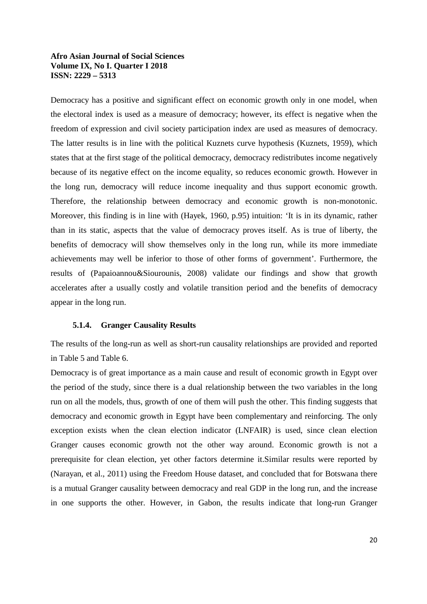Democracy has a positive and significant effect on economic growth only in one model, when the electoral index is used as a measure of democracy; however, its effect is negative when the freedom of expression and civil society participation index are used as measures of democracy. The latter results is in line with the political Kuznets curve hypothesis (Kuznets, 1959), which states that at the first stage of the political democracy, democracy redistributes income negatively because of its negative effect on the income equality, so reduces economic growth. However in the long run, democracy will reduce income inequality and thus support economic growth. Therefore, the relationship between democracy and economic growth is non-monotonic. Moreover, this finding is in line with (Hayek, 1960, p.95) intuition: 'It is in its dynamic, rather than in its static, aspects that the value of democracy proves itself. As is true of liberty, the benefits of democracy will show themselves only in the long run, while its more immediate achievements may well be inferior to those of other forms of government'. Furthermore, the results of (Papaioannou&Siourounis, 2008) validate our findings and show that growth accelerates after a usually costly and volatile transition period and the benefits of democracy appear in the long run.

## **5.1.4. Granger Causality Results**

The results of the long-run as well as short-run causality relationships are provided and reported in Table 5 and Table 6.

Democracy is of great importance as a main cause and result of economic growth in Egypt over the period of the study, since there is a dual relationship between the two variables in the long run on all the models, thus, growth of one of them will push the other. This finding suggests that democracy and economic growth in Egypt have been complementary and reinforcing. The only exception exists when the clean election indicator (LNFAIR) is used, since clean election Granger causes economic growth not the other way around. Economic growth is not a prerequisite for clean election, yet other factors determine it.Similar results were reported by (Narayan, et al., 2011) using the Freedom House dataset, and concluded that for Botswana there is a mutual Granger causality between democracy and real GDP in the long run, and the increase in one supports the other. However, in Gabon, the results indicate that long-run Granger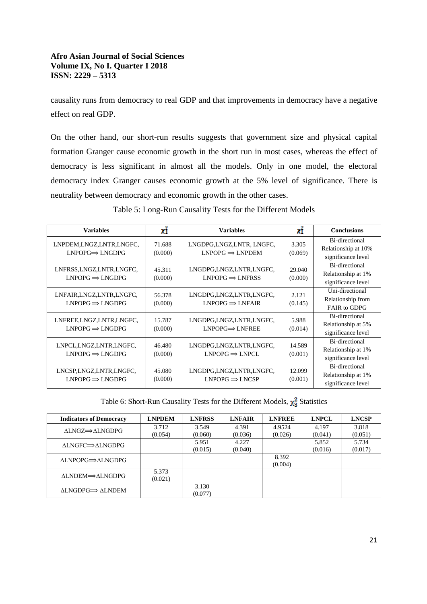causality runs from democracy to real GDP and that improvements in democracy have a negative effect on real GDP.

On the other hand, our short-run results suggests that government size and physical capital formation Granger cause economic growth in the short run in most cases, whereas the effect of democracy is less significant in almost all the models. Only in one model, the electoral democracy index Granger causes economic growth at the 5% level of significance. There is neutrality between democracy and economic growth in the other cases.

Table 5: Long-Run Causality Tests for the Different Models

| <b>Variables</b>                                          | xî                | <b>Variables</b>                                        | $x_1^2$           | <b>Conclusions</b>                                          |  |
|-----------------------------------------------------------|-------------------|---------------------------------------------------------|-------------------|-------------------------------------------------------------|--|
| LNPDEM,LNGZ,LNTR,LNGFC,<br>$LNPOPG \Rightarrow LNGDPG$    | 71.688<br>(0.000) | LNGDPG,LNGZ,LNTR, LNGFC,<br>$LNPOPG \Rightarrow LNPDEM$ | 3.305<br>(0.069)  | Bi-directional<br>Relationship at 10%<br>significance level |  |
| LNFRSS, LNGZ, LNTR, LNGFC,<br>$LNPOPG \Rightarrow LNGDPG$ | 45.311<br>(0.000) | LNGDPG,LNGZ,LNTR,LNGFC,<br>$LNPOPG \Rightarrow LNFRSS$  | 29.040<br>(0.000) | Bi-directional<br>Relationship at 1%<br>significance level  |  |
| LNFAIR, LNGZ, LNTR, LNGFC,<br>$LNPOPG \implies LNGDPG$    | 56.378<br>(0.000) | LNGDPG,LNGZ,LNTR,LNGFC,<br>$LNPOPG \implies LNFAIR$     | 2.121<br>(0.145)  | Uni-directional<br>Relationship from<br>FAIR to GDPG        |  |
| LNFREE, LNGZ, LNTR, LNGFC,<br>$LNPOPG \implies LNGDPG$    | 15.787<br>(0.000) | LNGDPG,LNGZ,LNTR,LNGFC,<br>$LNPOPG \implies LNFREE$     | 5.988<br>(0.014)  | Bi-directional<br>Relationship at 5%<br>significance level  |  |
| LNPCL, LNGZ, LNTR, LNGFC,<br>$LNPOPG \Rightarrow LNGDPG$  | 46.480<br>(0.000) | LNGDPG,LNGZ,LNTR,LNGFC,<br>$LNPOPG \Rightarrow LNPCL$   | 14.589<br>(0.001) | Bi-directional<br>Relationship at 1%<br>significance level  |  |
| LNCSP,LNGZ,LNTR,LNGFC,<br>$LNPOPG \implies LNGDPG$        | 45.080<br>(0.000) | LNGDPG,LNGZ,LNTR,LNGFC,<br>$LNPOPG \implies LNCSP$      | 12.099<br>(0.001) | Bi-directional<br>Relationship at 1%<br>significance level  |  |

Table 6: Short-Run Causality Tests for the Different Models,  $\chi^2$  Statistics

| <b>Indicators of Democracy</b>                     | <b>LNPDEM</b> | <b>LNFRSS</b> | <b>LNFAIR</b> | <b>LNFREE</b> | <b>LNPCL</b> | <b>LNCSP</b> |
|----------------------------------------------------|---------------|---------------|---------------|---------------|--------------|--------------|
| ∆LNGZ⇒∆LNGDPG                                      | 3.712         | 3.549         | 4.391         | 4.9524        | 4.197        | 3.818        |
|                                                    | (0.054)       | (0.060)       | (0.036)       | (0.026)       | (0.041)      | (0.051)      |
| ΔLNGFC⇒ΔLNGDPG                                     |               | 5.951         | 4.227         |               | 5.852        | 5.734        |
|                                                    |               | (0.015)       | (0.040)       |               | (0.016)      | (0.017)      |
| ∆LNPOPG⇒∆LNGDPG                                    |               |               |               | 8.392         |              |              |
|                                                    |               |               |               | (0.004)       |              |              |
|                                                    | 5.373         |               |               |               |              |              |
| ALNDEM⇒ALNGDPG                                     | (0.021)       |               |               |               |              |              |
|                                                    |               | 3.130         |               |               |              |              |
| $\triangle LNGDPG \Longrightarrow \triangle LNDEM$ |               | (0.077)       |               |               |              |              |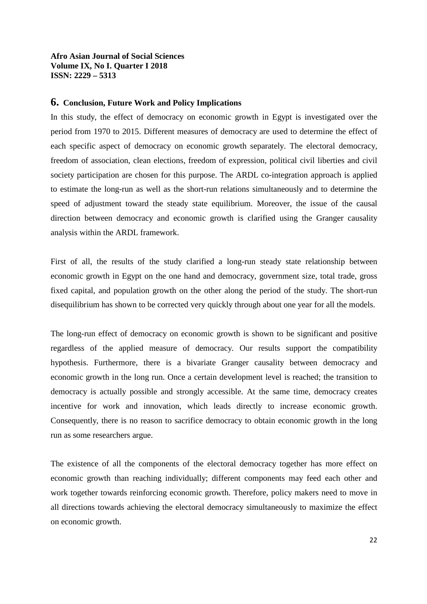#### **6. Conclusion, Future Work and Policy Implications**

In this study, the effect of democracy on economic growth in Egypt is investigated over the period from 1970 to 2015. Different measures of democracy are used to determine the effect of each specific aspect of democracy on economic growth separately. The electoral democracy, freedom of association, clean elections, freedom of expression, political civil liberties and civil society participation are chosen for this purpose. The ARDL co-integration approach is applied to estimate the long-run as well as the short-run relations simultaneously and to determine the speed of adjustment toward the steady state equilibrium. Moreover, the issue of the causal direction between democracy and economic growth is clarified using the Granger causality analysis within the ARDL framework.

First of all, the results of the study clarified a long-run steady state relationship between economic growth in Egypt on the one hand and democracy, government size, total trade, gross fixed capital, and population growth on the other along the period of the study. The short-run disequilibrium has shown to be corrected very quickly through about one year for all the models.

The long-run effect of democracy on economic growth is shown to be significant and positive regardless of the applied measure of democracy. Our results support the compatibility hypothesis. Furthermore, there is a bivariate Granger causality between democracy and economic growth in the long run. Once a certain development level is reached; the transition to democracy is actually possible and strongly accessible. At the same time, democracy creates incentive for work and innovation, which leads directly to increase economic growth. Consequently, there is no reason to sacrifice democracy to obtain economic growth in the long run as some researchers argue.

The existence of all the components of the electoral democracy together has more effect on economic growth than reaching individually; different components may feed each other and work together towards reinforcing economic growth. Therefore, policy makers need to move in all directions towards achieving the electoral democracy simultaneously to maximize the effect on economic growth.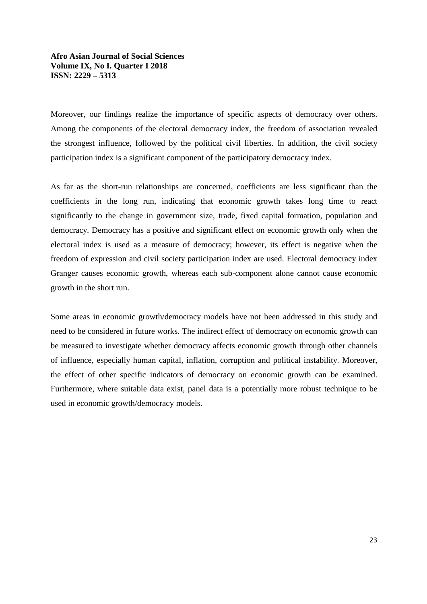Moreover, our findings realize the importance of specific aspects of democracy over others. Among the components of the electoral democracy index, the freedom of association revealed the strongest influence, followed by the political civil liberties. In addition, the civil society participation index is a significant component of the participatory democracy index.

As far as the short-run relationships are concerned, coefficients are less significant than the coefficients in the long run, indicating that economic growth takes long time to react significantly to the change in government size, trade, fixed capital formation, population and democracy. Democracy has a positive and significant effect on economic growth only when the electoral index is used as a measure of democracy; however, its effect is negative when the freedom of expression and civil society participation index are used. Electoral democracy index Granger causes economic growth, whereas each sub-component alone cannot cause economic growth in the short run.

Some areas in economic growth/democracy models have not been addressed in this study and need to be considered in future works. The indirect effect of democracy on economic growth can be measured to investigate whether democracy affects economic growth through other channels of influence, especially human capital, inflation, corruption and political instability. Moreover, the effect of other specific indicators of democracy on economic growth can be examined. Furthermore, where suitable data exist, panel data is a potentially more robust technique to be used in economic growth/democracy models.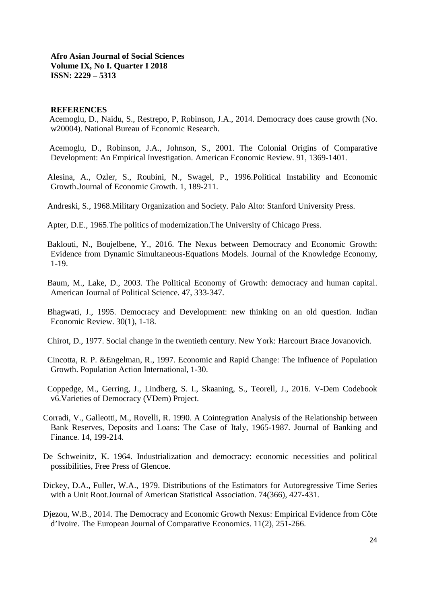#### **REFERENCES**

 Acemoglu, D., Naidu, S., Restrepo, P, Robinson, J.A., 2014. Democracy does cause growth (No. w20004). National Bureau of Economic Research.

 Acemoglu, D., Robinson, J.A., Johnson, S., 2001. The Colonial Origins of Comparative Development: An Empirical Investigation. American Economic Review. 91, 1369-1401.

 Alesina, A., Ozler, S., Roubini, N., Swagel, P., 1996.Political Instability and Economic Growth.Journal of Economic Growth. 1, 189-211.

Andreski, S., 1968.Military Organization and Society. Palo Alto: Stanford University Press.

Apter, D.E., 1965.The politics of modernization.The University of Chicago Press.

 Baklouti, N., Boujelbene, Y., 2016. The Nexus between Democracy and Economic Growth: Evidence from Dynamic Simultaneous-Equations Models. Journal of the Knowledge Economy, 1-19.

 Baum, M., Lake, D., 2003. The Political Economy of Growth: democracy and human capital. American Journal of Political Science. 47, 333-347.

 Bhagwati, J., 1995. Democracy and Development: new thinking on an old question. Indian Economic Review. 30(1), 1-18.

Chirot, D., 1977. Social change in the twentieth century. New York: Harcourt Brace Jovanovich.

 Cincotta, R. P. &Engelman, R., 1997. Economic and Rapid Change: The Influence of Population Growth. Population Action International, 1-30.

 Coppedge, M., Gerring, J., Lindberg, S. I., Skaaning, S., Teorell, J., 2016. V-Dem Codebook v6.Varieties of Democracy (VDem) Project.

Corradi, V., Galleotti, M., Rovelli, R. 1990. A Cointegration Analysis of the Relationship between Bank Reserves, Deposits and Loans: The Case of Italy, 1965-1987. Journal of Banking and Finance. 14, 199-214.

De Schweinitz, K. 1964. Industrialization and democracy: economic necessities and political possibilities, Free Press of Glencoe.

Dickey, D.A., Fuller, W.A., 1979. Distributions of the Estimators for Autoregressive Time Series with a Unit Root.Journal of American Statistical Association. 74(366), 427-431.

Djezou, W.B., 2014. The Democracy and Economic Growth Nexus: Empirical Evidence from Côte d'Ivoire. The European Journal of Comparative Economics. 11(2), 251-266.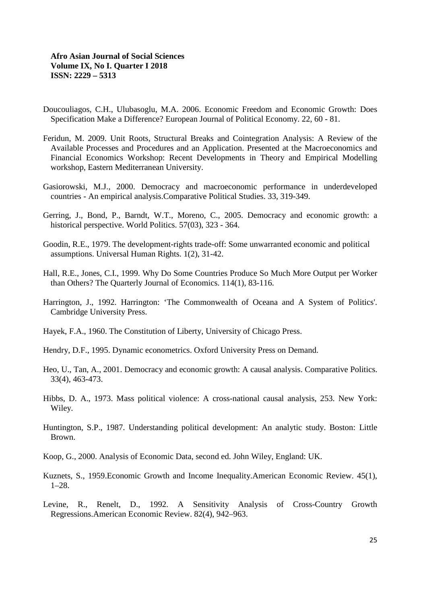- Doucouliagos, C.H., Ulubasoglu, M.A. 2006. Economic Freedom and Economic Growth: Does Specification Make a Difference? European Journal of Political Economy. 22, 60 - 81.
- Feridun, M. 2009. Unit Roots, Structural Breaks and Cointegration Analysis: A Review of the Available Processes and Procedures and an Application. Presented at the Macroeconomics and Financial Economics Workshop: Recent Developments in Theory and Empirical Modelling workshop, Eastern Mediterranean University.
- Gasiorowski, M.J., 2000. Democracy and macroeconomic performance in underdeveloped countries - An empirical analysis.Comparative Political Studies. 33, 319-349.
- Gerring, J., Bond, P., Barndt, W.T., Moreno, C., 2005. Democracy and economic growth: a historical perspective. World Politics. 57(03), 323 - 364.
- Goodin, R.E., 1979. The development-rights trade-off: Some unwarranted economic and political assumptions. Universal Human Rights. 1(2), 31-42.
- Hall, R.E., Jones, C.I., 1999. Why Do Some Countries Produce So Much More Output per Worker than Others? The Quarterly Journal of Economics. 114(1), 83-116.
- Harrington, J., 1992. Harrington: 'The Commonwealth of Oceana and A System of Politics'. Cambridge University Press.
- Hayek, F.A., 1960. The Constitution of Liberty, University of Chicago Press.
- Hendry, D.F., 1995. Dynamic econometrics. Oxford University Press on Demand.
- Heo, U., Tan, A., 2001. Democracy and economic growth: A causal analysis. Comparative Politics. 33(4), 463-473.
- Hibbs, D. A., 1973. Mass political violence: A cross-national causal analysis, 253. New York: Wiley.
- Huntington, S.P., 1987. Understanding political development: An analytic study. Boston: Little Brown.
- Koop, G., 2000. Analysis of Economic Data, second ed. John Wiley, England: UK.
- Kuznets, S., 1959.Economic Growth and Income Inequality.American Economic Review. 45(1), 1–28.
- Levine, R., Renelt, D., 1992. A Sensitivity Analysis of Cross-Country Growth Regressions.American Economic Review. 82(4), 942–963.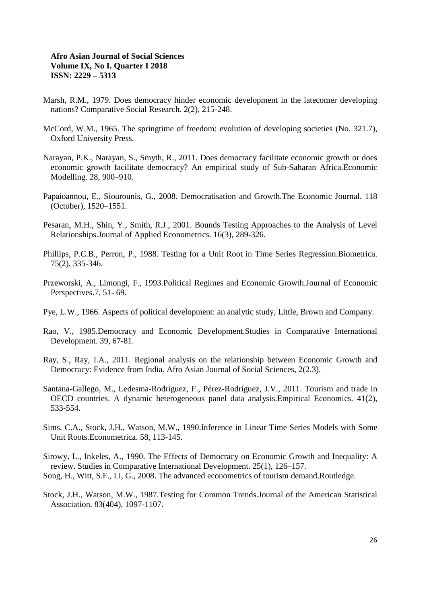- Marsh, R.M., 1979. Does democracy hinder economic development in the latecomer developing nations? Comparative Social Research. 2(2), 215-248.
- McCord, W.M., 1965. The springtime of freedom: evolution of developing societies (No. 321.7), Oxford University Press.
- Narayan, P.K., Narayan, S., Smyth, R., 2011. Does democracy facilitate economic growth or does economic growth facilitate democracy? An empirical study of Sub-Saharan Africa.Economic Modelling. 28, 900–910.
- Papaioannou, E., Siourounis, G., 2008. Democratisation and Growth.The Economic Journal. 118 (October), 1520–1551.
- Pesaran, M.H., Shin, Y., Smith, R.J., 2001. Bounds Testing Approaches to the Analysis of Level Relationships.Journal of Applied Econometrics. 16(3), 289-326.
- Phillips, P.C.B., Perron, P., 1988. Testing for a Unit Root in Time Series Regression.Biometrica. 75(2), 335-346.
- Przeworski, A., Limongi, F., 1993.Political Regimes and Economic Growth.Journal of Economic Perspectives.7, 51- 69.
- Pye, L.W., 1966. Aspects of political development: an analytic study, Little, Brown and Company.
- Rao, V., 1985.Democracy and Economic Development.Studies in Comparative International Development. 39, 67-81.
- Ray, S., Ray, I.A., 2011. Regional analysis on the relationship between Economic Growth and Democracy: Evidence from India. Afro Asian Journal of Social Sciences, 2(2.3).
- Santana-Gallego, M., Ledesma-Rodríguez, F., Pérez-Rodríguez, J.V., 2011. Tourism and trade in OECD countries. A dynamic heterogeneous panel data analysis.Empirical Economics. 41(2), 533-554.
- Sims, C.A., Stock, J.H., Watson, M.W., 1990.Inference in Linear Time Series Models with Some Unit Roots.Econometrica. 58, 113-145.
- Sirowy, L., Inkeles, A., 1990. The Effects of Democracy on Economic Growth and Inequality: A review. Studies in Comparative International Development. 25(1), 126–157.
- Song, H., Witt, S.F., Li, G., 2008. The advanced econometrics of tourism demand.Routledge.
- Stock, J.H., Watson, M.W., 1987.Testing for Common Trends.Journal of the American Statistical Association. 83(404), 1097-1107.